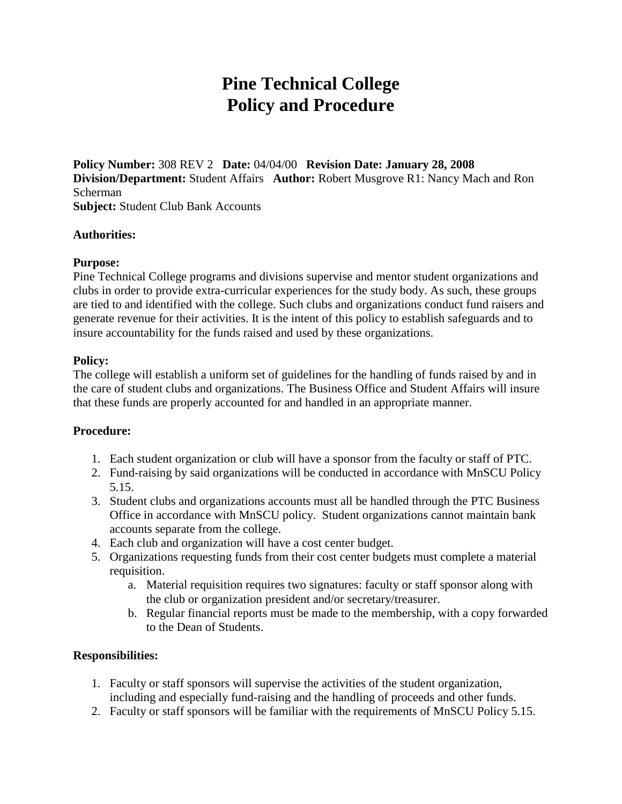# **Pine Technical College Policy and Procedure**

**Policy Number:** 308 REV 2 **Date:** 04/04/00 **Revision Date: January 28, 2008 Division/Department:** Student Affairs **Author:** Robert Musgrove R1: Nancy Mach and Ron Scherman **Subject: Student Club Bank Accounts** 

### **Authorities:**

### **Purpose:**

Pine Technical College programs and divisions supervise and mentor student organizations and clubs in order to provide extra-curricular experiences for the study body. As such, these groups are tied to and identified with the college. Such clubs and organizations conduct fund raisers and generate revenue for their activities. It is the intent of this policy to establish safeguards and to insure accountability for the funds raised and used by these organizations.

### **Policy:**

The college will establish a uniform set of guidelines for the handling of funds raised by and in the care of student clubs and organizations. The Business Office and Student Affairs will insure that these funds are properly accounted for and handled in an appropriate manner.

## **Procedure:**

- 1. Each student organization or club will have a sponsor from the faculty or staff of PTC.
- 2. Fund-raising by said organizations will be conducted in accordance with MnSCU Policy 5.15.
- 3. Student clubs and organizations accounts must all be handled through the PTC Business Office in accordance with MnSCU policy. Student organizations cannot maintain bank accounts separate from the college.
- 4. Each club and organization will have a cost center budget.
- 5. Organizations requesting funds from their cost center budgets must complete a material requisition.
	- a. Material requisition requires two signatures: faculty or staff sponsor along with the club or organization president and/or secretary/treasurer.
	- b. Regular financial reports must be made to the membership, with a copy forwarded to the Dean of Students.

## **Responsibilities:**

- 1. Faculty or staff sponsors will supervise the activities of the student organization, including and especially fund-raising and the handling of proceeds and other funds.
- 2. Faculty or staff sponsors will be familiar with the requirements of MnSCU Policy 5.15.